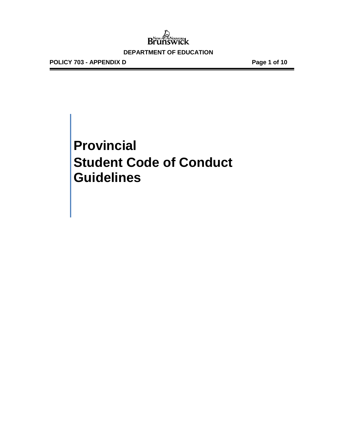**POLICY 703 - APPENDIX D Page 1 of 10**

## **Provincial Student Code of Conduct Guidelines**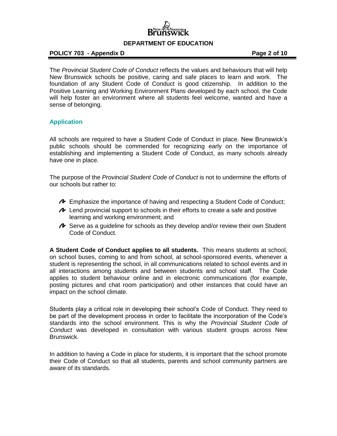

#### **POLICY 703 - Appendix D Page 2 of 10**

The *Provincial Student Code of Conduct* reflects the values and behaviours that will help New Brunswick schools be positive, caring and safe places to learn and work. The foundation of any Student Code of Conduct is good citizenship. In addition to the Positive Learning and Working Environment Plans developed by each school, the Code will help foster an environment where all students feel welcome, wanted and have a sense of belonging.

#### **Application**

All schools are required to have a Student Code of Conduct in place. New Brunswick's public schools should be commended for recognizing early on the importance of establishing and implementing a Student Code of Conduct, as many schools already have one in place.

The purpose of the *Provincial Student Code of Conduct* is not to undermine the efforts of our schools but rather to:

- Emphasize the importance of having and respecting a Student Code of Conduct;
- $\sim$  Lend provincial support to schools in their efforts to create a safe and positive learning and working environment; and
- $\triangle$  Serve as a quideline for schools as they develop and/or review their own Student Code of Conduct.

**A Student Code of Conduct applies to all students.** This means students at school, on school buses, coming to and from school, at school-sponsored events, whenever a student is representing the school, in all communications related to school events and in all interactions among students and between students and school staff. The Code applies to student behaviour online and in electronic communications (for example, posting pictures and chat room participation) and other instances that could have an impact on the school climate.

Students play a critical role in developing their school's Code of Conduct. They need to be part of the development process in order to facilitate the incorporation of the Code's standards into the school environment. This is why the *Provincial Student Code of Conduct* was developed in consultation with various student groups across New Brunswick.

In addition to having a Code in place for students, it is important that the school promote their Code of Conduct so that all students, parents and school community partners are aware of its standards.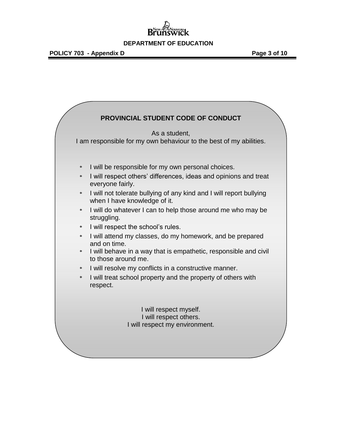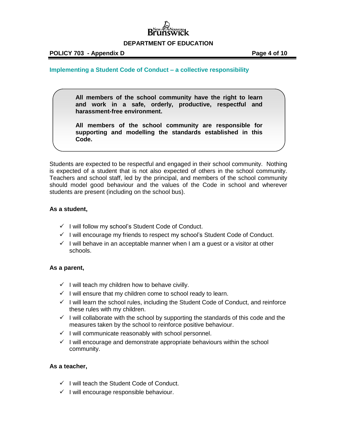

#### **Implementing a Student Code of Conduct – a collective responsibility**

**All members of the school community have the right to learn and work in a safe, orderly, productive, respectful and harassment-free environment.** 

**All members of the school community are responsible for supporting and modelling the standards established in this Code.** 

Students are expected to be respectful and engaged in their school community. Nothing is expected of a student that is not also expected of others in the school community. Teachers and school staff, led by the principal, and members of the school community should model good behaviour and the values of the Code in school and wherever students are present (including on the school bus).

#### **As a student,**

- $\checkmark$  I will follow my school's Student Code of Conduct.
- $\checkmark$  I will encourage my friends to respect my school's Student Code of Conduct.
- $\checkmark$  I will behave in an acceptable manner when I am a quest or a visitor at other schools.

#### **As a parent,**

- $\checkmark$  I will teach my children how to behave civilly.
- $\checkmark$  I will ensure that my children come to school ready to learn.
- $\checkmark$  I will learn the school rules, including the Student Code of Conduct, and reinforce these rules with my children.
- $\checkmark$  I will collaborate with the school by supporting the standards of this code and the measures taken by the school to reinforce positive behaviour.
- $\checkmark$  I will communicate reasonably with school personnel.
- $\checkmark$  I will encourage and demonstrate appropriate behaviours within the school community.

#### **As a teacher,**

- $\checkmark$  I will teach the Student Code of Conduct.
- $\checkmark$  I will encourage responsible behaviour.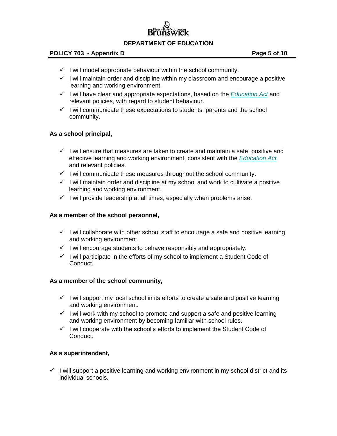#### **POLICY 703 - Appendix D POLICY 703 - Appendix D**

- $\checkmark$  I will model appropriate behaviour within the school community.
- $\checkmark$  I will maintain order and discipline within my classroom and encourage a positive learning and working environment.
- $\checkmark$  I will have clear and appropriate expectations, based on the *[Education Act](http://laws.gnb.ca/en/ShowPdf/cs/E-1.12.pdf)* and relevant policies, with regard to student behaviour.
- $\checkmark$  I will communicate these expectations to students, parents and the school community.

#### **As a school principal,**

- $\checkmark$  I will ensure that measures are taken to create and maintain a safe, positive and effective learning and working environment, consistent with the *[Education Act](http://laws.gnb.ca/en/ShowPdf/cs/E-1.12.pdf)* and relevant policies.
- $\checkmark$  I will communicate these measures throughout the school community.
- $\checkmark$  I will maintain order and discipline at my school and work to cultivate a positive learning and working environment.
- $\checkmark$  I will provide leadership at all times, especially when problems arise.

#### **As a member of the school personnel,**

- $\checkmark$  I will collaborate with other school staff to encourage a safe and positive learning and working environment.
- $\checkmark$  I will encourage students to behave responsibly and appropriately.
- $\checkmark$  I will participate in the efforts of my school to implement a Student Code of Conduct.

#### **As a member of the school community,**

- $\checkmark$  I will support my local school in its efforts to create a safe and positive learning and working environment.
- $\checkmark$  I will work with my school to promote and support a safe and positive learning and working environment by becoming familiar with school rules.
- $\checkmark$  I will cooperate with the school's efforts to implement the Student Code of Conduct.

#### **As a superintendent,**

 $\checkmark$  I will support a positive learning and working environment in my school district and its individual schools.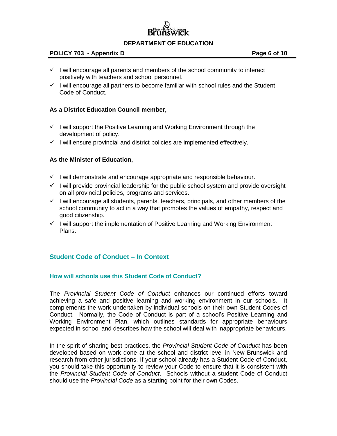

#### **POLICY 703 - Appendix D Page 6 of 10**

- $\checkmark$  I will encourage all parents and members of the school community to interact positively with teachers and school personnel.
- $\checkmark$  I will encourage all partners to become familiar with school rules and the Student Code of Conduct.

#### **As a District Education Council member,**

- $\checkmark$  I will support the Positive Learning and Working Environment through the development of policy.
- $\checkmark$  I will ensure provincial and district policies are implemented effectively.

#### **As the Minister of Education,**

- $\checkmark$  I will demonstrate and encourage appropriate and responsible behaviour.
- $\checkmark$  I will provide provincial leadership for the public school system and provide oversight on all provincial policies, programs and services.
- $\checkmark$  I will encourage all students, parents, teachers, principals, and other members of the school community to act in a way that promotes the values of empathy, respect and good citizenship.
- $\checkmark$  I will support the implementation of Positive Learning and Working Environment Plans.

#### **Student Code of Conduct – In Context**

#### **How will schools use this Student Code of Conduct?**

The *Provincial Student Code of Conduct* enhances our continued efforts toward achieving a safe and positive learning and working environment in our schools. It complements the work undertaken by individual schools on their own Student Codes of Conduct. Normally, the Code of Conduct is part of a school's Positive Learning and Working Environment Plan, which outlines standards for appropriate behaviours expected in school and describes how the school will deal with inappropriate behaviours.

In the spirit of sharing best practices, the *Provincial Student Code of Conduct* has been developed based on work done at the school and district level in New Brunswick and research from other jurisdictions. If your school already has a Student Code of Conduct, you should take this opportunity to review your Code to ensure that it is consistent with the *Provincial Student Code of Conduct*. Schools without a student Code of Conduct should use the *Provincial Code* as a starting point for their own Codes.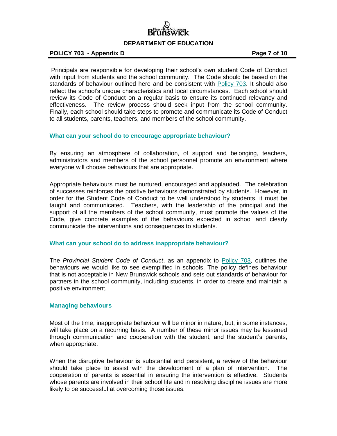

#### **POLICY 703 - Appendix D Page 7 of 10**

Principals are responsible for developing their school's own student Code of Conduct with input from students and the school community. The Code should be based on the standards of behaviour outlined here and be consistent with [Policy 703.](http://www2.gnb.ca/content/dam/gnb/Departments/ed/pdf/K12/policies-politiques/e/703A.pdf) It should also reflect the school's unique characteristics and local circumstances. Each school should review its Code of Conduct on a regular basis to ensure its continued relevancy and effectiveness. The review process should seek input from the school community. Finally, each school should take steps to promote and communicate its Code of Conduct to all students, parents, teachers, and members of the school community.

#### **What can your school do to encourage appropriate behaviour?**

By ensuring an atmosphere of collaboration, of support and belonging, teachers, administrators and members of the school personnel promote an environment where everyone will choose behaviours that are appropriate.

Appropriate behaviours must be nurtured, encouraged and applauded. The celebration of successes reinforces the positive behaviours demonstrated by students. However, in order for the Student Code of Conduct to be well understood by students, it must be taught and communicated. Teachers, with the leadership of the principal and the support of all the members of the school community, must promote the values of the Code, give concrete examples of the behaviours expected in school and clearly communicate the interventions and consequences to students.

#### **What can your school do to address inappropriate behaviour?**

The *Provincial Student Code of Conduct*, as an appendix to [Policy 703,](http://www2.gnb.ca/content/dam/gnb/Departments/ed/pdf/K12/policies-politiques/e/703A.pdf) outlines the behaviours we would like to see exemplified in schools. The policy defines behaviour that is not acceptable in New Brunswick schools and sets out standards of behaviour for partners in the school community, including students, in order to create and maintain a positive environment.

#### **Managing behaviours**

Most of the time, inappropriate behaviour will be minor in nature, but, in some instances, will take place on a recurring basis. A number of these minor issues may be lessened through communication and cooperation with the student, and the student's parents, when appropriate.

When the disruptive behaviour is substantial and persistent, a review of the behaviour should take place to assist with the development of a plan of intervention. The cooperation of parents is essential in ensuring the intervention is effective. Students whose parents are involved in their school life and in resolving discipline issues are more likely to be successful at overcoming those issues.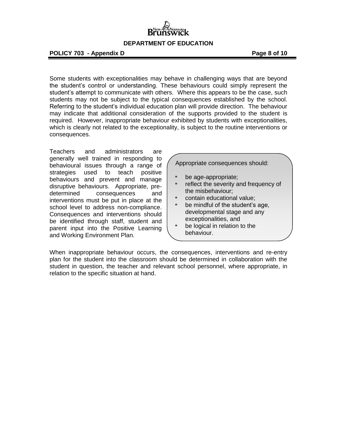**POLICY 703 - Appendix D Page 8 of 10**

Some students with exceptionalities may behave in challenging ways that are beyond the student's control or understanding. These behaviours could simply represent the student's attempt to communicate with others. Where this appears to be the case, such students may not be subject to the typical consequences established by the school. Referring to the student's individual education plan will provide direction. The behaviour may indicate that additional consideration of the supports provided to the student is required. However, inappropriate behaviour exhibited by students with exceptionalities, which is clearly not related to the exceptionality, is subject to the routine interventions or consequences.

Teachers and administrators are generally well trained in responding to behavioural issues through a range of strategies used to teach positive behaviours and prevent and manage disruptive behaviours. Appropriate, predetermined consequences and interventions must be put in place at the school level to address non-compliance. Consequences and interventions should be identified through staff, student and parent input into the Positive Learning and Working Environment Plan.

Appropriate consequences should:

- be age-appropriate;
- reflect the severity and frequency of the misbehaviour;
- contain educational value;
- be mindful of the student's age, developmental stage and any exceptionalities, and
- be logical in relation to the behaviour.

When inappropriate behaviour occurs, the consequences, interventions and re-entry plan for the student into the classroom should be determined in collaboration with the student in question, the teacher and relevant school personnel, where appropriate, in relation to the specific situation at hand.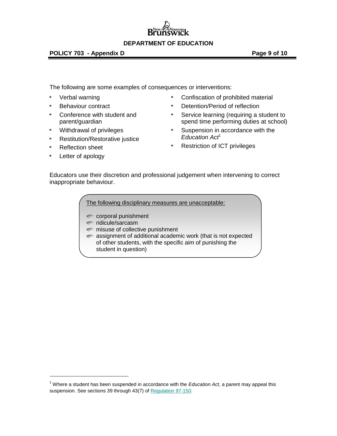#### **POLICY 703 - Appendix D POLICY 703 - Appendix D**

The following are some examples of consequences or interventions:

- ò Verbal warning
- Behaviour contract ò.
- Conference with student and ò. parent/guardian
- e. Withdrawal of privileges
- ÷. Restitution/Restorative justice
- Reflection sheet ÷.
- Letter of apology

 $\overline{a}$ 

- Confiscation of prohibited material
- Detention/Period of reflection
- Service learning (requiring a student to spend time performing duties at school)
- Suspension in accordance with the *Education Act*<sup>1</sup>
- Restriction of ICT privileges

Educators use their discretion and professional judgement when intervening to correct inappropriate behaviour.

The following disciplinary measures are unacceptable:

- corporal punishment
- $\blacksquare$  ridicule/sarcasm
- misuse of collective punishment
- **assignment of additional academic work (that is not expected** of other students, with the specific aim of punishing the student in question)

<sup>1</sup> Where a student has been suspended in accordance with the *Education Act*, a parent may appeal this suspension. See sections 39 through 43(7) o[f Regulation 97-150.](http://laws.gnb.ca/en/ShowPdf/cr/97-150.pdf)